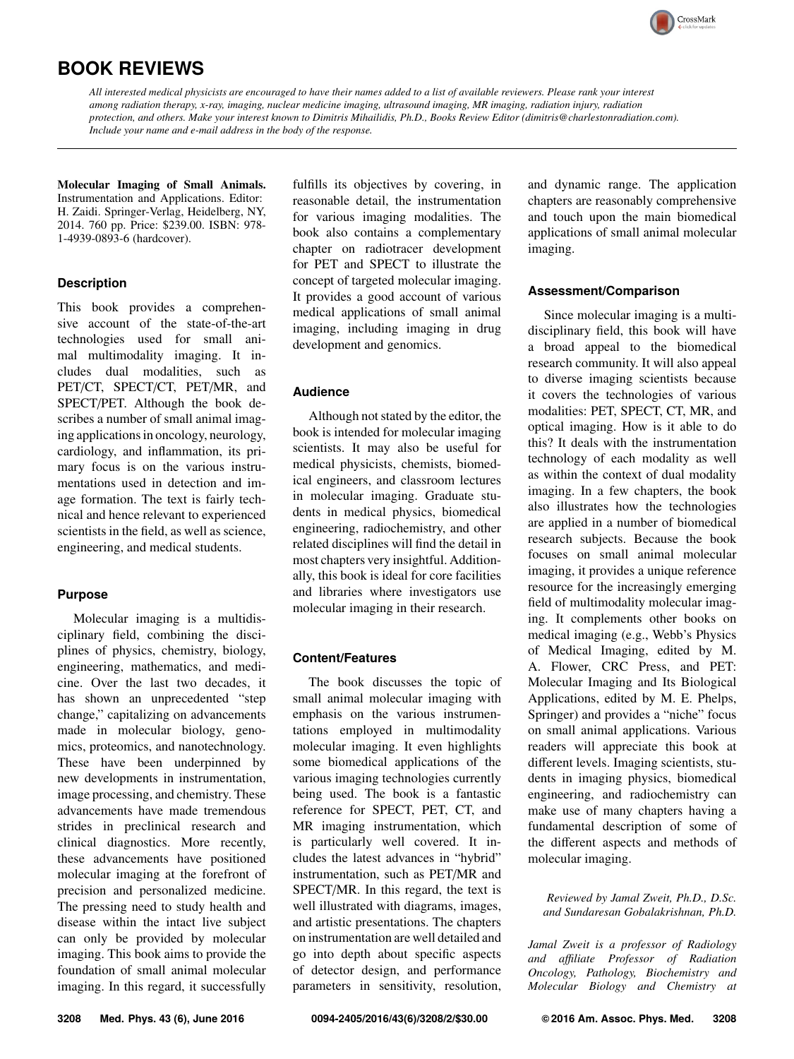

# **BOOK REVIEWS**

*All interested medical physicists are encouraged to have their names added to a list of available reviewers. Please rank your interest among radiation therapy, x-ray, imaging, nuclear medicine imaging, ultrasound imaging, MR imaging, radiation injury, radiation protection, and others. Make your interest known to Dimitris Mihailidis, Ph.D., Books Review Editor (dimitris@charlestonradiation.com). Include your name and e-mail address in the body of the response.*

Molecular Imaging of Small Animals. Instrumentation and Applications. Editor: H. Zaidi. Springer-Verlag, Heidelberg, NY, 2014. 760 pp. Price: \$239.00. ISBN: 978- 1-4939-0893-6 (hardcover).

## **Description**

This book provides a comprehensive account of the state-of-the-art technologies used for small animal multimodality imaging. It includes dual modalities, such as PET/CT, SPECT/CT, PET/MR, and SPECT/PET. Although the book describes a number of small animal imaging applications in oncology, neurology, cardiology, and inflammation, its primary focus is on the various instrumentations used in detection and image formation. The text is fairly technical and hence relevant to experienced scientists in the field, as well as science, engineering, and medical students.

## **Purpose**

Molecular imaging is a multidisciplinary field, combining the disciplines of physics, chemistry, biology, engineering, mathematics, and medicine. Over the last two decades, it has shown an unprecedented "step change," capitalizing on advancements made in molecular biology, genomics, proteomics, and nanotechnology. These have been underpinned by new developments in instrumentation, image processing, and chemistry. These advancements have made tremendous strides in preclinical research and clinical diagnostics. More recently, these advancements have positioned molecular imaging at the forefront of precision and personalized medicine. The pressing need to study health and disease within the intact live subject can only be provided by molecular imaging. This book aims to provide the foundation of small animal molecular imaging. In this regard, it successfully

fulfills its objectives by covering, in reasonable detail, the instrumentation for various imaging modalities. The book also contains a complementary chapter on radiotracer development for PET and SPECT to illustrate the concept of targeted molecular imaging. It provides a good account of various medical applications of small animal imaging, including imaging in drug development and genomics.

## **Audience**

Although not stated by the editor, the book is intended for molecular imaging scientists. It may also be useful for medical physicists, chemists, biomedical engineers, and classroom lectures in molecular imaging. Graduate students in medical physics, biomedical engineering, radiochemistry, and other related disciplines will find the detail in most chapters very insightful. Additionally, this book is ideal for core facilities and libraries where investigators use molecular imaging in their research.

## **Content/Features**

The book discusses the topic of small animal molecular imaging with emphasis on the various instrumentations employed in multimodality molecular imaging. It even highlights some biomedical applications of the various imaging technologies currently being used. The book is a fantastic reference for SPECT, PET, CT, and MR imaging instrumentation, which is particularly well covered. It includes the latest advances in "hybrid" instrumentation, such as PET/MR and SPECT/MR. In this regard, the text is well illustrated with diagrams, images, and artistic presentations. The chapters on instrumentation are well detailed and go into depth about specific aspects of detector design, and performance parameters in sensitivity, resolution,

and dynamic range. The application chapters are reasonably comprehensive and touch upon the main biomedical applications of small animal molecular imaging.

## **Assessment/Comparison**

Since molecular imaging is a multidisciplinary field, this book will have a broad appeal to the biomedical research community. It will also appeal to diverse imaging scientists because it covers the technologies of various modalities: PET, SPECT, CT, MR, and optical imaging. How is it able to do this? It deals with the instrumentation technology of each modality as well as within the context of dual modality imaging. In a few chapters, the book also illustrates how the technologies are applied in a number of biomedical research subjects. Because the book focuses on small animal molecular imaging, it provides a unique reference resource for the increasingly emerging field of multimodality molecular imaging. It complements other books on medical imaging (e.g., Webb's Physics of Medical Imaging, edited by M. A. Flower, CRC Press, and PET: Molecular Imaging and Its Biological Applications, edited by M. E. Phelps, Springer) and provides a "niche" focus on small animal applications. Various readers will appreciate this book at different levels. Imaging scientists, students in imaging physics, biomedical engineering, and radiochemistry can make use of many chapters having a fundamental description of some of the different aspects and methods of molecular imaging.

#### *Reviewed by Jamal Zweit, Ph.D., D.Sc. and Sundaresan Gobalakrishnan, Ph.D.*

*Jamal Zweit is a professor of Radiology and a*ffi*liate Professor of Radiation Oncology, Pathology, Biochemistry and Molecular Biology and Chemistry at*